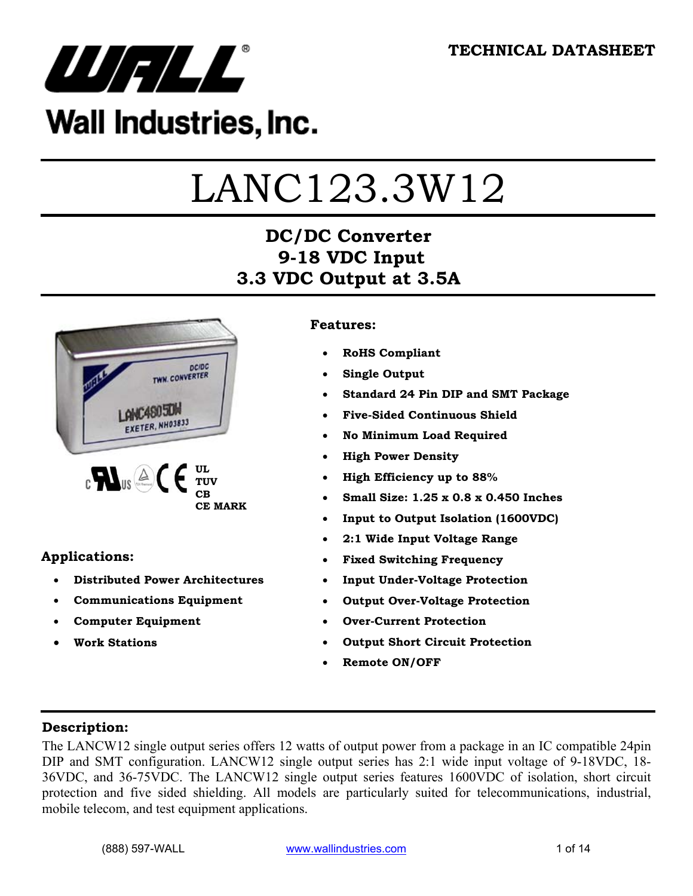

## Wall Industries, Inc.

# LANC123.3W12

## **DC/DC Converter 9-18 VDC Input 3.3 VDC Output at 3.5A**



#### **Applications:**

- **Distributed Power Architectures**
- **Communications Equipment**
- **Computer Equipment**
- **Work Stations**

#### **Features:**

- **RoHS Compliant**
- **Single Output**
- **Standard 24 Pin DIP and SMT Package**
- **Five-Sided Continuous Shield**
- **No Minimum Load Required**
- **High Power Density**
- **High Efficiency up to 88%**
- **Small Size: 1.25 x 0.8 x 0.450 Inches**
- **Input to Output Isolation (1600VDC)**
- **2:1 Wide Input Voltage Range**
- **Fixed Switching Frequency**
- **Input Under-Voltage Protection**
- **Output Over-Voltage Protection**
- **Over-Current Protection**
- **Output Short Circuit Protection**
- **Remote ON/OFF**

#### **Description:**

The LANCW12 single output series offers 12 watts of output power from a package in an IC compatible 24pin DIP and SMT configuration. LANCW12 single output series has 2:1 wide input voltage of 9-18VDC, 18- 36VDC, and 36-75VDC. The LANCW12 single output series features 1600VDC of isolation, short circuit protection and five sided shielding. All models are particularly suited for telecommunications, industrial, mobile telecom, and test equipment applications.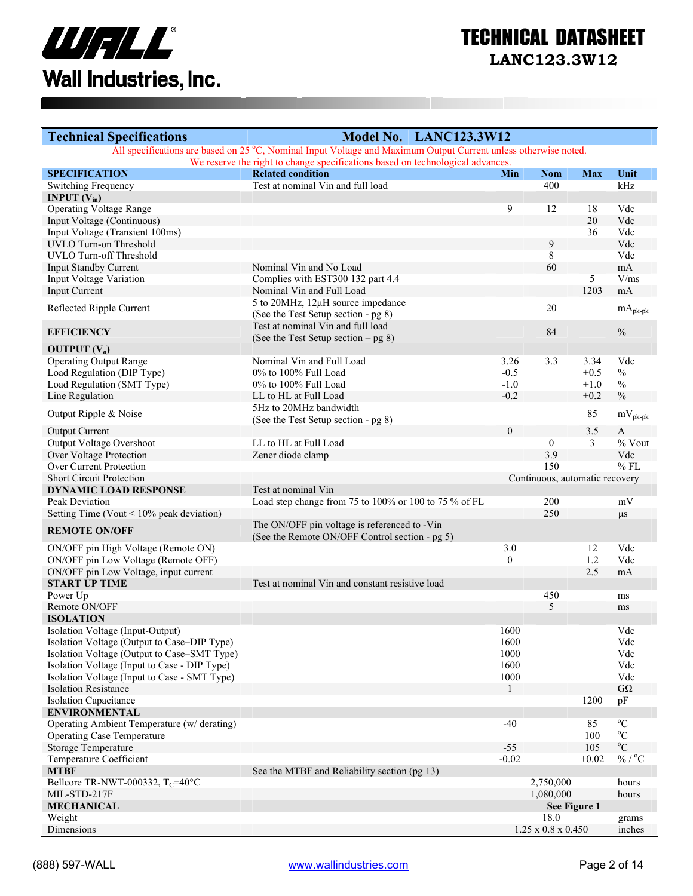

| <b>Technical Specifications</b>                             | Model No. LANC123.3W12                                                                                          |                  |                                |                  |                       |
|-------------------------------------------------------------|-----------------------------------------------------------------------------------------------------------------|------------------|--------------------------------|------------------|-----------------------|
|                                                             | All specifications are based on 25 °C, Nominal Input Voltage and Maximum Output Current unless otherwise noted. |                  |                                |                  |                       |
|                                                             | We reserve the right to change specifications based on technological advances.                                  |                  |                                |                  |                       |
| <b>SPECIFICATION</b><br><b>Switching Frequency</b>          | <b>Related condition</b><br>Test at nominal Vin and full load                                                   | Min              | <b>Nom</b><br>400              | <b>Max</b>       | Unit<br>kHz           |
| <b>INPUT</b> $(V_{in})$                                     |                                                                                                                 |                  |                                |                  |                       |
| <b>Operating Voltage Range</b>                              |                                                                                                                 | 9                | 12                             | 18               | Vdc                   |
| Input Voltage (Continuous)                                  |                                                                                                                 |                  |                                | 20               | Vdc                   |
| Input Voltage (Transient 100ms)                             |                                                                                                                 |                  |                                | 36               | Vdc                   |
| UVLO Turn-on Threshold                                      |                                                                                                                 |                  | 9                              |                  | Vdc                   |
| UVLO Turn-off Threshold                                     |                                                                                                                 |                  | 8                              |                  | Vdc                   |
| <b>Input Standby Current</b>                                | Nominal Vin and No Load                                                                                         |                  | 60                             |                  | mA                    |
| Input Voltage Variation                                     | Complies with EST300 132 part 4.4                                                                               |                  |                                | 5                | V/ms                  |
| <b>Input Current</b>                                        | Nominal Vin and Full Load                                                                                       |                  |                                | 1203             | mA                    |
| Reflected Ripple Current                                    | 5 to 20MHz, 12µH source impedance                                                                               |                  | 20                             |                  | $mA_{pk\text{-}pk}$   |
|                                                             | (See the Test Setup section - pg 8)                                                                             |                  |                                |                  |                       |
| <b>EFFICIENCY</b>                                           | Test at nominal Vin and full load                                                                               |                  | 84                             |                  | $\frac{0}{0}$         |
|                                                             | (See the Test Setup section $-$ pg 8)                                                                           |                  |                                |                  |                       |
| OUTPUT $(V_0)$                                              |                                                                                                                 |                  |                                |                  |                       |
| <b>Operating Output Range</b>                               | Nominal Vin and Full Load                                                                                       | 3.26             | 3.3                            | 3.34             | Vdc                   |
| Load Regulation (DIP Type)<br>Load Regulation (SMT Type)    | 0% to 100% Full Load                                                                                            | $-0.5$           |                                | $+0.5$           | $\frac{0}{0}$         |
| Line Regulation                                             | 0% to 100% Full Load<br>LL to HL at Full Load                                                                   | $-1.0$<br>$-0.2$ |                                | $+1.0$<br>$+0.2$ | $\%$<br>$\frac{0}{0}$ |
|                                                             | 5Hz to 20MHz bandwidth                                                                                          |                  |                                |                  |                       |
| Output Ripple & Noise                                       | (See the Test Setup section - pg 8)                                                                             |                  |                                | 85               | $mV_{pk-pk}$          |
| <b>Output Current</b>                                       |                                                                                                                 | $\theta$         |                                | 3.5              | A                     |
| Output Voltage Overshoot                                    | LL to HL at Full Load                                                                                           |                  | $\mathbf{0}$                   | $\mathfrak{Z}$   | % Vout                |
| Over Voltage Protection                                     | Zener diode clamp                                                                                               |                  | 3.9                            |                  | Vdc                   |
| Over Current Protection                                     |                                                                                                                 |                  | 150                            |                  | $%$ FL                |
| <b>Short Circuit Protection</b>                             |                                                                                                                 |                  | Continuous, automatic recovery |                  |                       |
| <b>DYNAMIC LOAD RESPONSE</b>                                | Test at nominal Vin                                                                                             |                  |                                |                  |                       |
| Peak Deviation                                              | Load step change from 75 to 100% or 100 to 75 % of FL                                                           |                  | 200                            |                  | mV                    |
| Setting Time (Vout $\leq 10\%$ peak deviation)              |                                                                                                                 |                  | 250                            |                  | $\mu s$               |
| <b>REMOTE ON/OFF</b>                                        | The ON/OFF pin voltage is referenced to -Vin<br>(See the Remote ON/OFF Control section - pg 5)                  |                  |                                |                  |                       |
| ON/OFF pin High Voltage (Remote ON)                         |                                                                                                                 | 3.0              |                                | 12               | Vdc                   |
| ON/OFF pin Low Voltage (Remote OFF)                         |                                                                                                                 | $\theta$         |                                | 1.2              | Vdc                   |
| ON/OFF pin Low Voltage, input current                       |                                                                                                                 |                  |                                | 2.5              | mA                    |
| <b>START UP TIME</b>                                        | Test at nominal Vin and constant resistive load                                                                 |                  |                                |                  |                       |
| Power Up                                                    |                                                                                                                 |                  | 450                            |                  | ms                    |
| Remote ON/OFF                                               |                                                                                                                 |                  | 5                              |                  | ms                    |
| <b>ISOLATION</b>                                            |                                                                                                                 |                  |                                |                  |                       |
| Isolation Voltage (Input-Output)                            |                                                                                                                 | 1600             |                                |                  | Vdc                   |
| Isolation Voltage (Output to Case–DIP Type)                 |                                                                                                                 | 1600             |                                |                  | Vdc                   |
| Isolation Voltage (Output to Case–SMT Type)                 |                                                                                                                 | 1000             |                                |                  | Vdc                   |
| Isolation Voltage (Input to Case - DIP Type)                |                                                                                                                 | 1600             |                                |                  | Vdc                   |
| Isolation Voltage (Input to Case - SMT Type)                |                                                                                                                 | 1000             |                                |                  | Vdc                   |
| <b>Isolation Resistance</b><br><b>Isolation Capacitance</b> |                                                                                                                 |                  |                                | 1200             | $G\Omega$             |
| <b>ENVIRONMENTAL</b>                                        |                                                                                                                 |                  |                                |                  | pF                    |
| Operating Ambient Temperature (w/ derating)                 |                                                                                                                 | $-40$            |                                | 85               | $^{\circ}C$           |
| <b>Operating Case Temperature</b>                           |                                                                                                                 |                  |                                | 100              | $\rm ^{o}C$           |
| Storage Temperature                                         |                                                                                                                 | $-55$            |                                | 105              | $^{\rm o}{\rm C}$     |
| Temperature Coefficient                                     |                                                                                                                 | $-0.02$          |                                | $+0.02$          | $\%$ / $^0C$          |
| <b>MTBF</b>                                                 | See the MTBF and Reliability section (pg 13)                                                                    |                  |                                |                  |                       |
| Bellcore TR-NWT-000332, $T_C = 40^{\circ}C$                 |                                                                                                                 |                  | 2,750,000                      |                  | hours                 |
| MIL-STD-217F                                                |                                                                                                                 |                  | 1,080,000                      |                  | hours                 |
| <b>MECHANICAL</b>                                           |                                                                                                                 |                  |                                | See Figure 1     |                       |
| Weight                                                      |                                                                                                                 |                  | 18.0                           |                  | grams                 |
| Dimensions                                                  |                                                                                                                 |                  | $1.25 \times 0.8 \times 0.450$ |                  | inches                |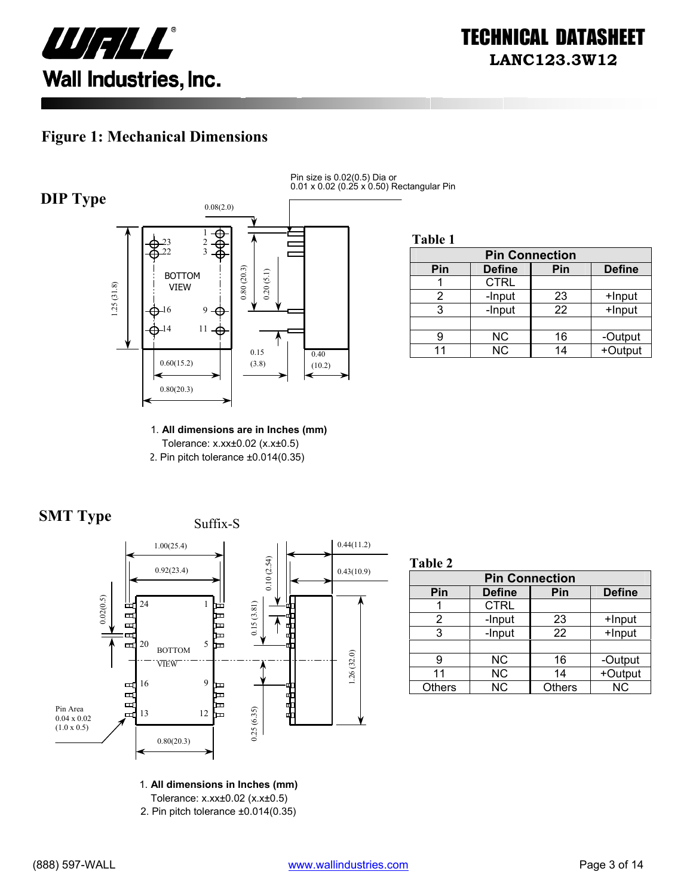

#### **Figure 1: Mechanical Dimensions**



Pin size is 0.02(0.5) Dia or 0.01 x 0.02 (0.25 x 0.50) Rectangular Pin

**Table 1**

| <b>Pin Connection</b> |               |     |               |  |
|-----------------------|---------------|-----|---------------|--|
| Pin                   | <b>Define</b> | Pin | <b>Define</b> |  |
|                       | <b>CTRL</b>   |     |               |  |
|                       | -Input        | 23  | +Input        |  |
|                       | -Input        | 22  | $+$ Input     |  |
|                       |               |     |               |  |
|                       | <b>NC</b>     | 16  | -Output       |  |
|                       | <b>NC</b>     | 14  | +Output       |  |

1. **All dimensions are in Inches (mm)**  Tolerance: x.xx±0.02 (x.x±0.5) 2. Pin pitch tolerance ±0.014(0.35)





**Table 2**

| <b>Pin Connection</b> |               |               |               |  |
|-----------------------|---------------|---------------|---------------|--|
| Pin                   | <b>Define</b> | Pin           | <b>Define</b> |  |
|                       | <b>CTRL</b>   |               |               |  |
| 2                     | -Input        | 23            | +Input        |  |
| 3                     | -Input        | 22            | +Input        |  |
|                       |               |               |               |  |
| g                     | NС            | 16            | -Output       |  |
| 11                    | <b>NC</b>     | 14            | +Output       |  |
| <b>Others</b>         | <b>NC</b>     | <b>Others</b> | <b>NC</b>     |  |

1. **All dimensions in Inches (mm)** 

Tolerance: x.xx±0.02 (x.x±0.5)

2. Pin pitch tolerance ±0.014(0.35)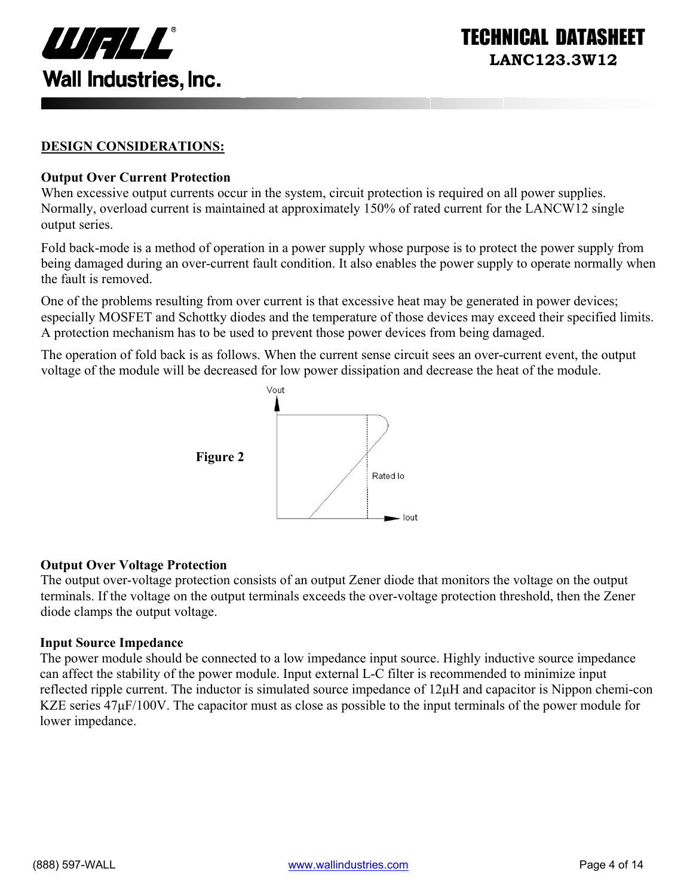

#### **DESIGN CONSIDERATIONS:**

#### **Output Over Current Protection**

When excessive output currents occur in the system, circuit protection is required on all power supplies. Normally, overload current is maintained at approximately 150% of rated current for the LANCW12 single output series.

Fold back-mode is a method of operation in a power supply whose purpose is to protect the power supply from being damaged during an over-current fault condition. It also enables the power supply to operate normally when the fault is removed.

One of the problems resulting from over current is that excessive heat may be generated in power devices; especially MOSFET and Schottky diodes and the temperature of those devices may exceed their specified limits. A protection mechanism has to be used to prevent those power devices from being damaged.

The operation of fold back is as follows. When the current sense circuit sees an over-current event, the output voltage of the module will be decreased for low power dissipation and decrease the heat of the module.



#### **Output Over Voltage Protection**

The output over-voltage protection consists of an output Zener diode that monitors the voltage on the output terminals. If the voltage on the output terminals exceeds the over-voltage protection threshold, then the Zener diode clamps the output voltage.

#### **Input Source Impedance**

The power module should be connected to a low impedance input source. Highly inductive source impedance can affect the stability of the power module. Input external L-C filter is recommended to minimize input reflected ripple current. The inductor is simulated source impedance of 12µH and capacitor is Nippon chemi-con KZE series  $47\mu$ F/100V. The capacitor must as close as possible to the input terminals of the power module for lower impedance.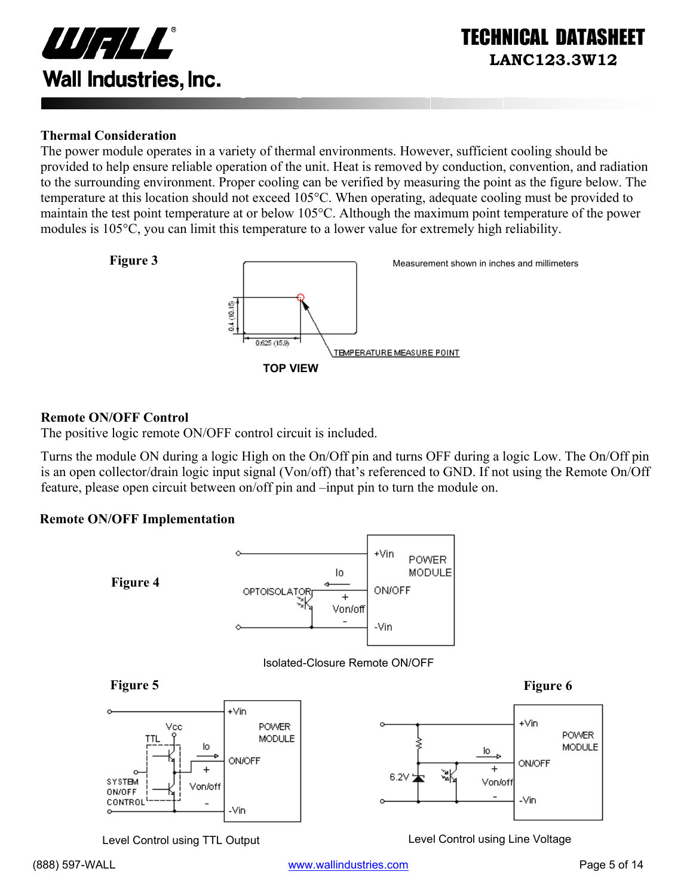

#### **Thermal Consideration**

The power module operates in a variety of thermal environments. However, sufficient cooling should be provided to help ensure reliable operation of the unit. Heat is removed by conduction, convention, and radiation to the surrounding environment. Proper cooling can be verified by measuring the point as the figure below. The temperature at this location should not exceed 105°C. When operating, adequate cooling must be provided to maintain the test point temperature at or below 105°C. Although the maximum point temperature of the power modules is 105°C, you can limit this temperature to a lower value for extremely high reliability.



#### **Remote ON/OFF Control**

The positive logic remote ON/OFF control circuit is included.

Turns the module ON during a logic High on the On/Off pin and turns OFF during a logic Low. The On/Off pin is an open collector/drain logic input signal (Von/off) that's referenced to GND. If not using the Remote On/Off feature, please open circuit between on/off pin and –input pin to turn the module on.

#### **Remote ON/OFF Implementation**



Level Control using TTL Output Level Control using Line Voltage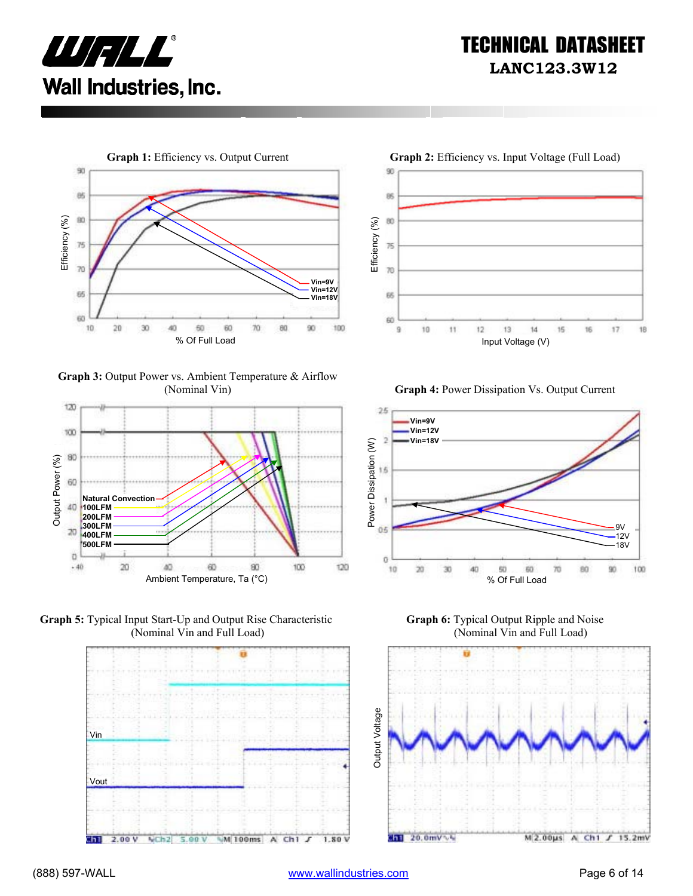



**Graph 3:** Output Power vs. Ambient Temperature & Airflow









(Nominal Vin) **Graph 4:** Power Dissipation Vs. Output Current



**Graph 6:** Typical Output Ripple and Noise (Nominal Vin and Full Load)

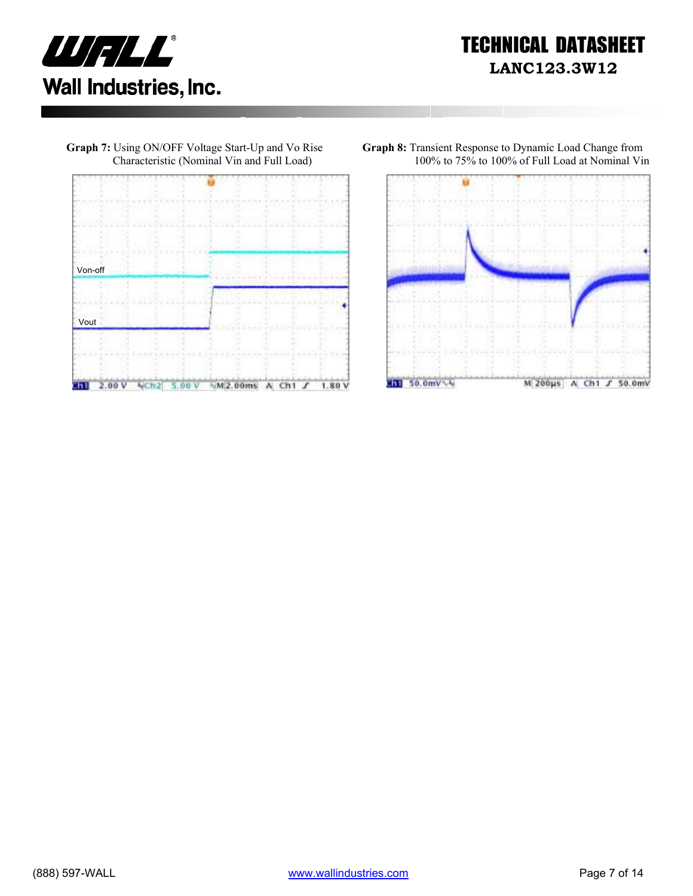



**Graph 7:** Using ON/OFF Voltage Start-Up and Vo Rise

**Graph 8:** Transient Response to Dynamic Load Change from 100% to 75% to 100% of Full Load at Nominal Vin

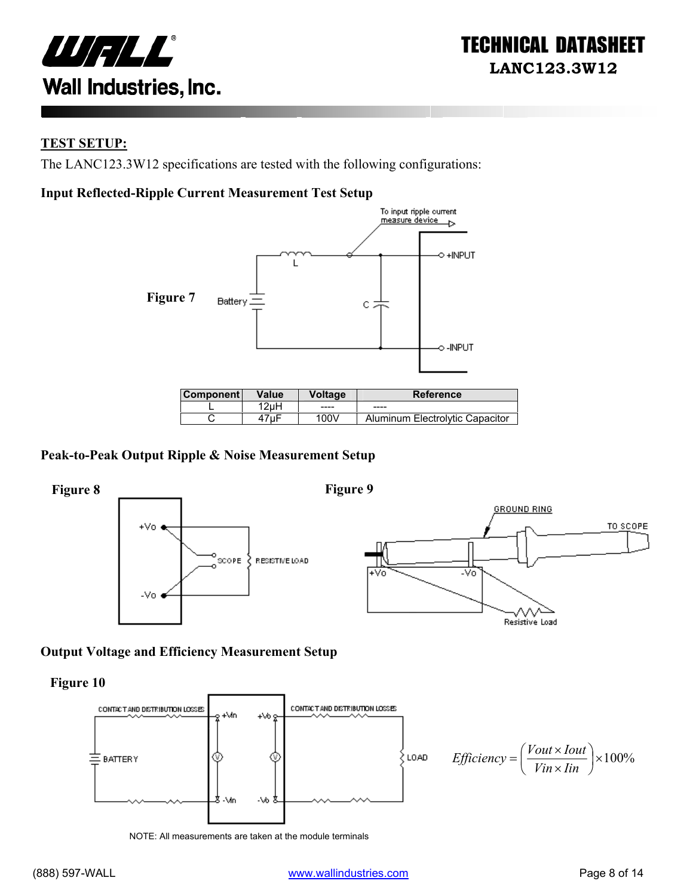

#### **TEST SETUP:**

The LANC123.3W12 specifications are tested with the following configurations:

#### **Input Reflected-Ripple Current Measurement Test Setup**



| <b>Component</b> | <b>Value</b> | <b>Voltage</b> | <b>Reference</b>                |
|------------------|--------------|----------------|---------------------------------|
|                  | 12uH         | -----          | ----                            |
|                  | 7uF          | 100V           | Aluminum Electrolytic Capacitor |

#### **Peak-to-Peak Output Ripple & Noise Measurement Setup**



#### **Output Voltage and Efficiency Measurement Setup**

**Figure 10** 



NOTE: All measurements are taken at the module terminals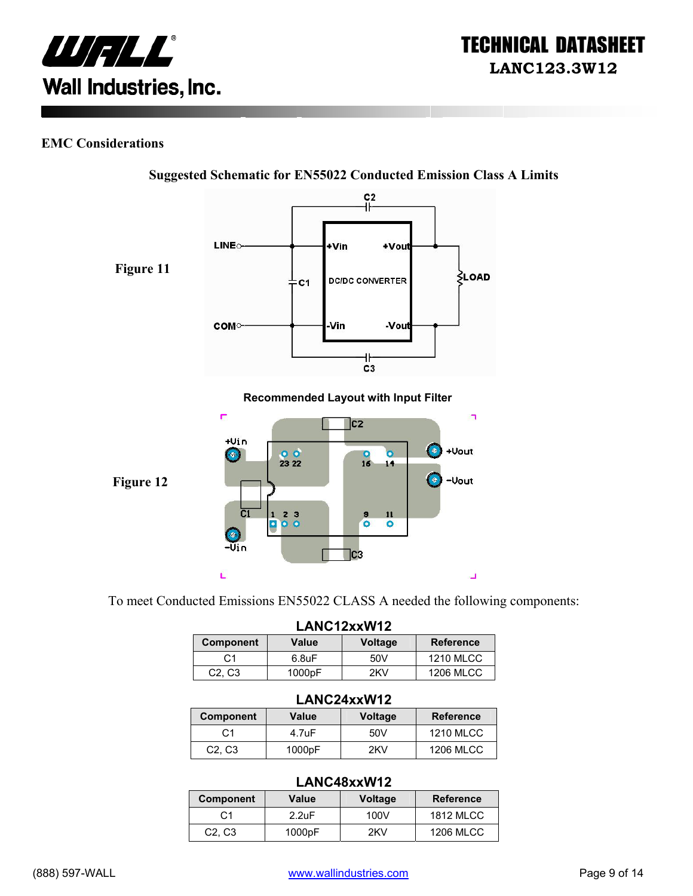

#### **EMC Considerations**



**Suggested Schematic for EN55022 Conducted Emission Class A Limits** 

To meet Conducted Emissions EN55022 CLASS A needed the following components:

| LANC12xxW12                     |                    |         |                  |  |
|---------------------------------|--------------------|---------|------------------|--|
| <b>Component</b>                | Value              | Voltage | <b>Reference</b> |  |
| C1                              | 6.8 <sub>U</sub> F | 50V     | <b>1210 MLCC</b> |  |
| C <sub>2</sub> , C <sub>3</sub> | 1000pF             | 2KV     | <b>1206 MLCC</b> |  |

#### **LANC24xxW12**

| <b>Component</b>                | Value  | <b>Voltage</b> | <b>Reference</b> |
|---------------------------------|--------|----------------|------------------|
| C1                              | 4.7uF  | 50V            | <b>1210 MLCC</b> |
| C <sub>2</sub> , C <sub>3</sub> | 1000pF | 2KV            | <b>1206 MLCC</b> |

#### **LANC48xxW12**

|                                 |                    | ---------------- |                  |
|---------------------------------|--------------------|------------------|------------------|
| Component                       | Value              | <b>Voltage</b>   | <b>Reference</b> |
| C <sub>1</sub>                  | 2.2 <sub>U</sub> F | 100V             | <b>1812 MLCC</b> |
| C <sub>2</sub> , C <sub>3</sub> | 1000pF             | 2KV              | <b>1206 MLCC</b> |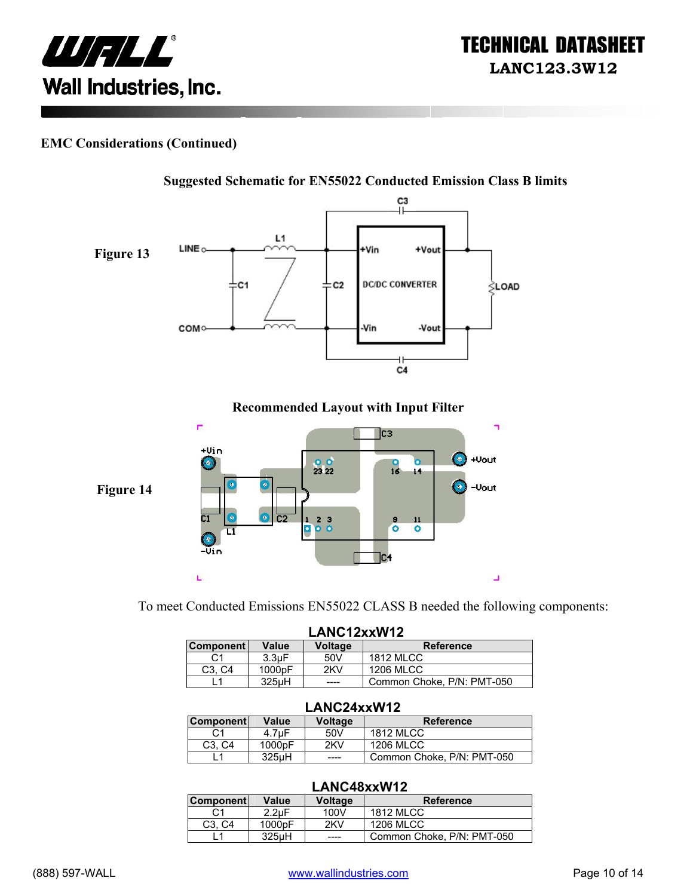

#### **EMC Considerations (Continued)**



To meet Conducted Emissions EN55022 CLASS B needed the following components:

| LANC12xxW12                     |                    |                |                            |
|---------------------------------|--------------------|----------------|----------------------------|
| <b>Component</b>                | Value              | <b>Voltage</b> | <b>Reference</b>           |
| C1                              | 3.3 <sub>U</sub> F | 50V            | <b>1812 MLCC</b>           |
| C <sub>3</sub> . C <sub>4</sub> | 1000pF             | 2KV            | <b>1206 MLCC</b>           |
|                                 | 325uH              | ----           | Common Choke, P/N: PMT-050 |

#### **LANC24xxW12**

| <b>Component</b>                | Value              | Voltage | <b>Reference</b>           |
|---------------------------------|--------------------|---------|----------------------------|
|                                 | 4.7uF              | 50V     | 1812 MLCC                  |
| C <sub>3</sub> . C <sub>4</sub> | 1000 <sub>pF</sub> | 2KV     | 1206 MLCC                  |
|                                 | 325 <sub>u</sub> H | ____    | Common Choke, P/N: PMT-050 |

#### **LANC48xxW12**

| <b>Component</b>                | Value              | <b>Voltage</b> | <b>Reference</b>           |
|---------------------------------|--------------------|----------------|----------------------------|
| C1                              | $2.2 \text{uF}$    | 100V           | <b>1812 MLCC</b>           |
| C <sub>3</sub> . C <sub>4</sub> | 1000 <sub>pF</sub> | 2KV            | 1206 MLCC                  |
|                                 | $325\mu H$         | ----           | Common Choke, P/N: PMT-050 |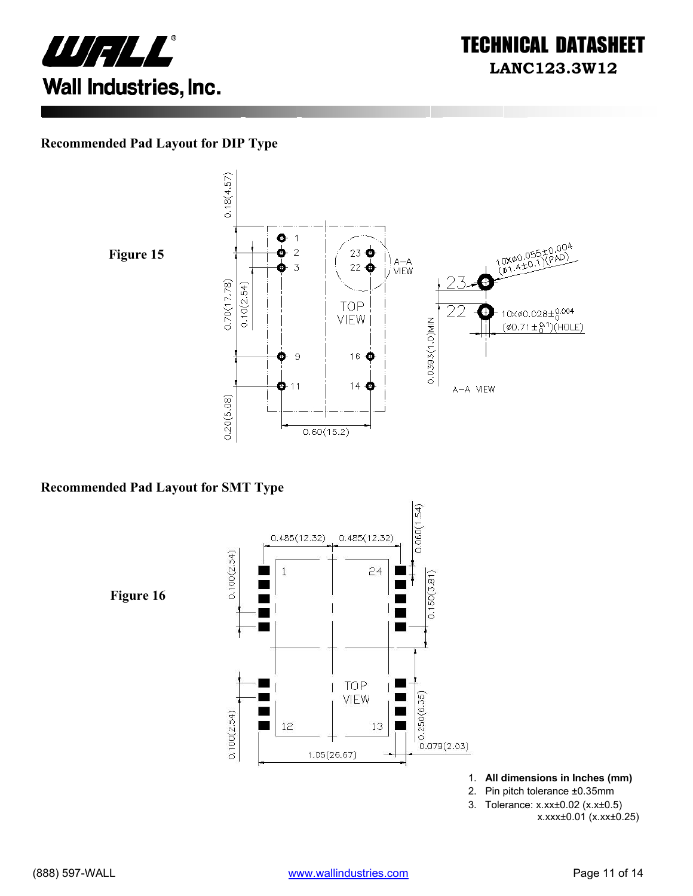

#### **Recommended Pad Layout for DIP Type**



 $0.18(4.57)$ o  $\vert$ 10X00.055±0.004<br>(01.4±0.1)(PAD)  $\bar{z}$  $23$   $\bullet$ | ) a—a<br>|*|* VIEW  $22\bigcirc$  $\overline{3}$  $0.70(17.78)$  $0.10(2.54)$ **TOP**  $10 \times \emptyset 0.028 \pm 0.004$ Ŧ VIEW 0.0393(1.0)MIN  $(\phi 0.71 \pm {}^{0.1}_{0})$ (HOLE)  $\mathbf 9$ 16 → æ  $14<sup>o</sup>$  $\mathbf{O}$ -11 A-A VIEW  $0.20(5.08)$  $0.60(15.2)$ 

#### **Recommended Pad Layout for SMT Type**

 $0.060(1.54)$  $0.485(12.32)$  $0.485(12.32)$  $0.100(2.54)$  $\overline{1}$  $24$  $0.150(3.81)$ **Figure 16** Ξ  $\blacksquare$ TOP Г VIEW  $0.250(6.35)$  $0.100(2.54)$ 12 13  $0.079(2.03)$  $1.05(26.67)$ 

- 1. **All dimensions in Inches (mm)**
- 2. Pin pitch tolerance ±0.35mm
- 3. Tolerance: x.xx±0.02 (x.x±0.5)

x.xxx±0.01 (x.xx±0.25)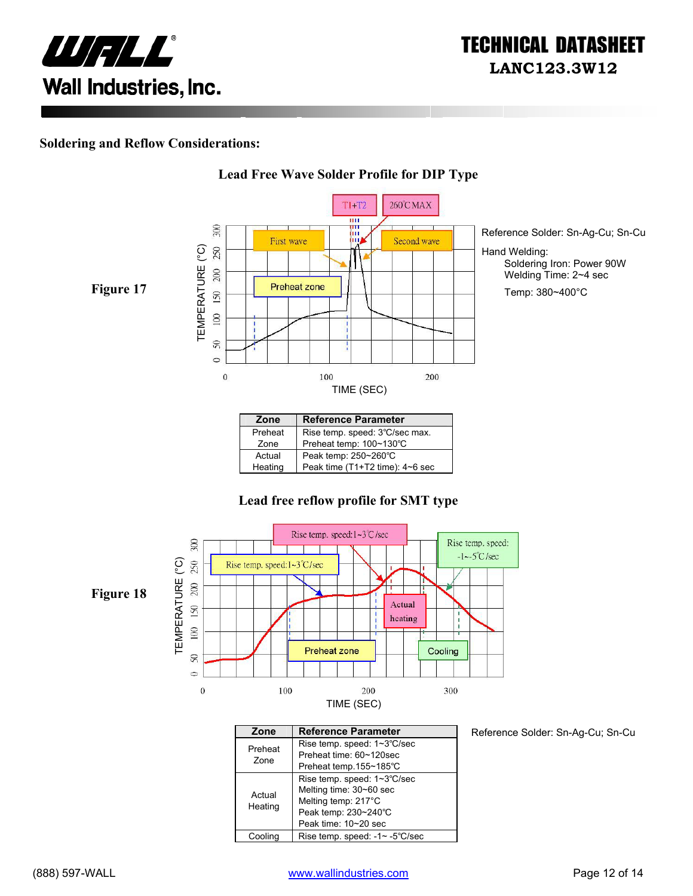

#### **Soldering and Reflow Considerations:**



**Lead Free Wave Solder Profile for DIP Type**

#### Preheat | Rise temp. speed: 3℃/sec max. Zone Preheat temp: 100~130℃ Actual Peak temp: 250~260°C<br>Heating Peak time (T1+T2 time) Peak time (T1+T2 time): 4~6 sec

#### **Lead free reflow profile for SMT type**



| Zone              | <b>Reference Parameter</b>                                                                                                    |
|-------------------|-------------------------------------------------------------------------------------------------------------------------------|
| Preheat<br>Zone   | Rise temp. speed: 1~3°C/sec<br>Preheat time: 60~120sec<br>Preheat temp.155~185°C                                              |
| Actual<br>Heating | Rise temp. speed: 1~3°C/sec<br>Melting time: 30~60 sec<br>Melting temp: 217°C<br>Peak temp: 230~240°C<br>Peak time: 10~20 sec |
| Coolina           | Rise temp. speed: -1~ -5°C/sec                                                                                                |

Reference Solder: Sn-Ag-Cu; Sn-Cu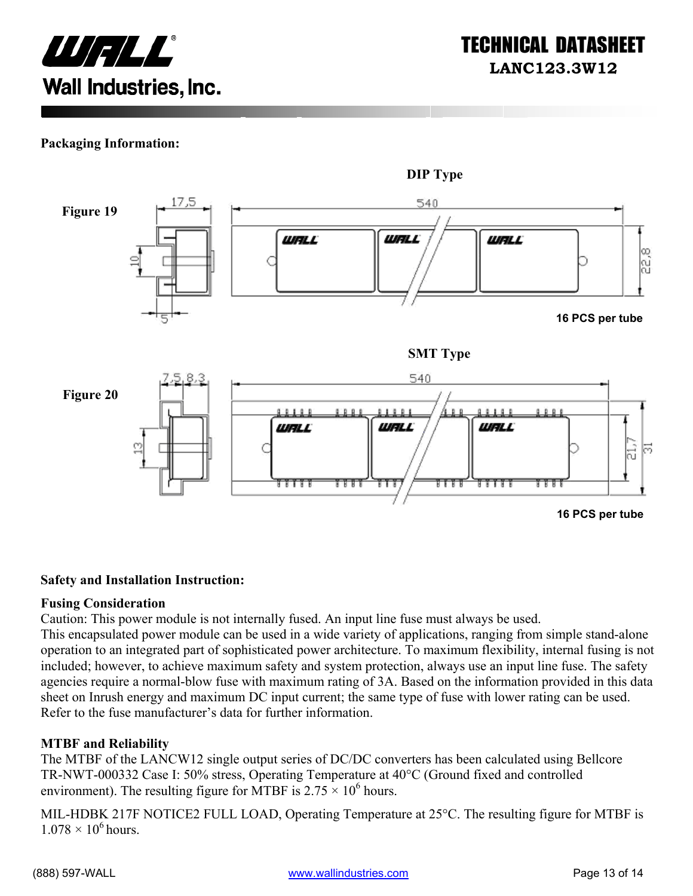

#### **Packaging Information:**



#### **Safety and Installation Instruction:**

#### **Fusing Consideration**

Caution: This power module is not internally fused. An input line fuse must always be used.

This encapsulated power module can be used in a wide variety of applications, ranging from simple stand-alone operation to an integrated part of sophisticated power architecture. To maximum flexibility, internal fusing is not included; however, to achieve maximum safety and system protection, always use an input line fuse. The safety agencies require a normal-blow fuse with maximum rating of 3A. Based on the information provided in this data sheet on Inrush energy and maximum DC input current; the same type of fuse with lower rating can be used. Refer to the fuse manufacturer's data for further information.

#### **MTBF and Reliability**

The MTBF of the LANCW12 single output series of DC/DC converters has been calculated using Bellcore TR-NWT-000332 Case I: 50% stress, Operating Temperature at 40°C (Ground fixed and controlled environment). The resulting figure for MTBF is  $2.75 \times 10^6$  hours.

MIL-HDBK 217F NOTICE2 FULL LOAD, Operating Temperature at 25°C. The resulting figure for MTBF is  $1.078 \times 10^6$  hours.